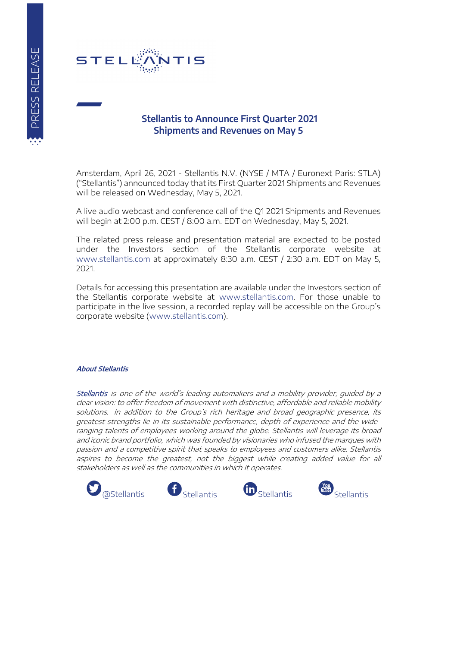

## **Stellantis to Announce First Quarter 2021 Shipments and Revenues on May 5**

Amsterdam, April 26, 2021 - Stellantis N.V. (NYSE / MTA / Euronext Paris: STLA) ("Stellantis") announced today that its First Quarter 2021 Shipments and Revenues will be released on Wednesday, May 5, 2021.

A live audio webcast and conference call of the Q1 2021 Shipments and Revenues will begin at 2:00 p.m. CEST / 8:00 a.m. EDT on Wednesday, May 5, 2021.

The related press release and presentation material are expected to be posted under the Investors section of the Stellantis corporate website at [www.stellantis.com](https://www.stellantis.com/en) at approximately 8:30 a.m. CEST / 2:30 a.m. EDT on May 5, 2021.

Details for accessing this presentation are available under the Investors section of the Stellantis corporate website at [www.stellantis.com.](https://www.stellantis.com/en) For those unable to participate in the live session, a recorded replay will be accessible on the Group's corporate website [\(www.stellantis.com\)](https://www.stellantis.com/en).

## **About Stellantis**

Stellantis is one of the world's leading automakers and a mobility provider, guided by a clear vision: to offer freedom of movement with distinctive, affordable and reliable mobility solutions. In addition to the Group's rich heritage and broad geographic presence, its greatest strengths lie in its sustainable performance, depth of experience and the wideranging talents of employees working around the globe. Stellantis will leverage its broad and iconic brand portfolio, which was founded by visionaries who infused the marques with passion and a competitive spirit that speaks to employees and customers alike. Stellantis aspires to become the greatest, not the biggest while creating added value for all stakeholders as well as the communities in which it operates.